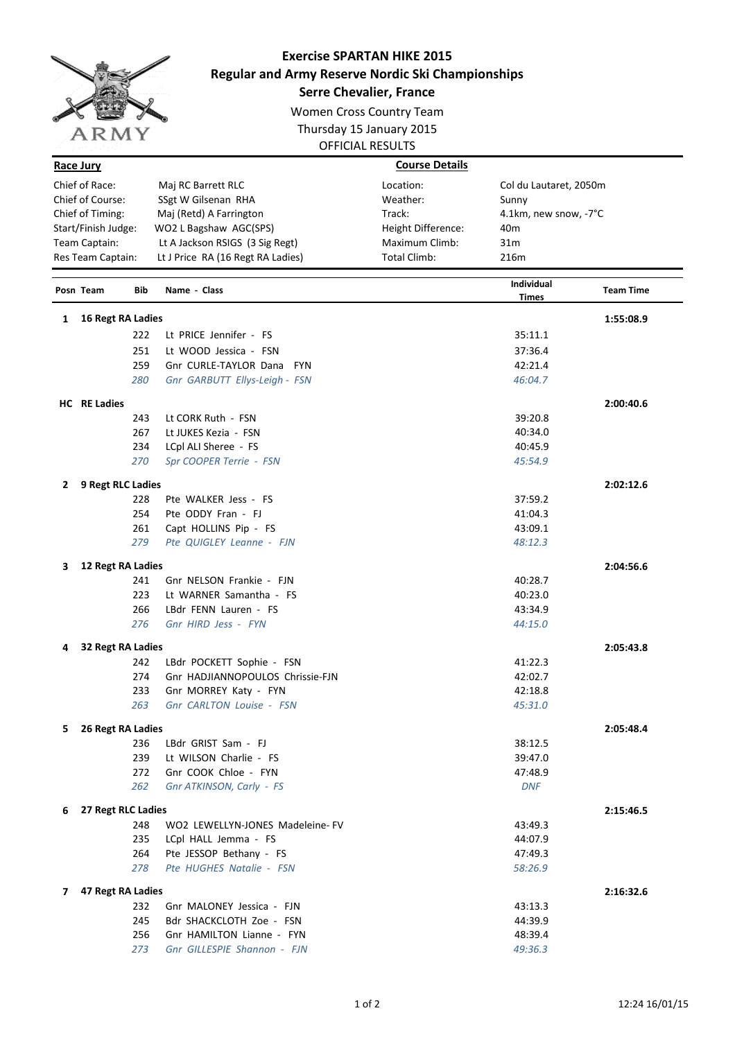

## **Exercise SPARTAN HIKE 2015 Regular and Army Reserve Nordic Ski Championships**

**Serre Chevalier, France**

Women Cross Country Team Thursday 15 January 2015 OFFICIAL RESULTS

| Race Jury           |                                     | <b>Course Details</b> |                            |                  |
|---------------------|-------------------------------------|-----------------------|----------------------------|------------------|
| Chief of Race:      | Maj RC Barrett RLC                  | Location:             | Col du Lautaret, 2050m     |                  |
| Chief of Course:    | SSgt W Gilsenan RHA                 | Weather:              | Sunny                      |                  |
| Chief of Timing:    | Maj (Retd) A Farrington             | Track:                | 4.1km, new snow, -7°C      |                  |
| Start/Finish Judge: | WO2 L Bagshaw AGC(SPS)              | Height Difference:    | 40 <sub>m</sub>            |                  |
| Team Captain:       | Lt A Jackson RSIGS (3 Sig Regt)     | Maximum Climb:        | 31 <sub>m</sub>            |                  |
| Res Team Captain:   | Lt J Price RA (16 Regt RA Ladies)   | Total Climb:          | 216m                       |                  |
| Posn Team           | <b>Bib</b><br>Name - Class          |                       | <b>Individual</b><br>Times | <b>Team Time</b> |
| 16 Regt RA Ladies   |                                     |                       |                            | 1:55:08.9        |
|                     | 222<br>Lt PRICE Jennifer - FS       |                       | 35:11.1                    |                  |
|                     | 251<br>Lt WOOD Jessica - FSN        |                       | 37:36.4                    |                  |
|                     | 259<br>Gnr CURLE-TAYLOR Dana<br>FYN |                       | 42:21.4                    |                  |
| 280                 | Gnr GARBUTT Ellys-Leigh - FSN       |                       | 46:04.7                    |                  |
| HC RE Ladies        |                                     |                       |                            | 2:00:40.6        |

|              | <b>HC</b> RE Ladies |                                  |            | 2:00:40.6 |
|--------------|---------------------|----------------------------------|------------|-----------|
|              | 243                 | Lt CORK Ruth - FSN               | 39:20.8    |           |
|              | 267                 | Lt JUKES Kezia - FSN             | 40:34.0    |           |
|              | 234                 | LCpl ALI Sheree - FS             | 40:45.9    |           |
|              | 270                 | Spr COOPER Terrie - FSN          | 45:54.9    |           |
| $\mathbf{2}$ | 9 Regt RLC Ladies   |                                  |            | 2:02:12.6 |
|              | 228                 | Pte WALKER Jess - FS             | 37:59.2    |           |
|              | 254                 | Pte ODDY Fran - FJ               | 41:04.3    |           |
|              | 261                 | Capt HOLLINS Pip - FS            | 43:09.1    |           |
|              | 279                 | Pte QUIGLEY Leanne - FJN         | 48:12.3    |           |
| 3            | 12 Regt RA Ladies   |                                  |            | 2:04:56.6 |
|              | 241                 | Gnr NELSON Frankie - FJN         | 40:28.7    |           |
|              | 223                 | Lt WARNER Samantha - FS          | 40:23.0    |           |
|              | 266                 | LBdr FENN Lauren - FS            | 43:34.9    |           |
|              | 276                 | Gnr HIRD Jess - FYN              | 44:15.0    |           |
| 4            | 32 Regt RA Ladies   |                                  |            | 2:05:43.8 |
|              | 242                 | LBdr POCKETT Sophie - FSN        | 41:22.3    |           |
|              | 274                 | Gnr HADJIANNOPOULOS Chrissie-FJN | 42:02.7    |           |
|              | 233                 | Gnr MORREY Katy - FYN            | 42:18.8    |           |
|              | 263                 | Gnr CARLTON Louise - FSN         | 45:31.0    |           |
| 5.           | 26 Regt RA Ladies   |                                  |            | 2:05:48.4 |
|              | 236                 | LBdr GRIST Sam - FJ              | 38:12.5    |           |
|              | 239                 | Lt WILSON Charlie - FS           | 39:47.0    |           |
|              | 272                 | Gnr COOK Chloe - FYN             | 47:48.9    |           |
|              | 262                 | Gnr ATKINSON, Carly - FS         | <b>DNF</b> |           |
| 6            | 27 Regt RLC Ladies  |                                  | 2:15:46.5  |           |
|              | 248                 | WO2 LEWELLYN-JONES Madeleine- FV | 43:49.3    |           |
|              | 235                 | LCpl HALL Jemma - FS             | 44:07.9    |           |
|              | 264                 | Pte JESSOP Bethany - FS          | 47:49.3    |           |
|              | 278                 | Pte HUGHES Natalie - FSN         | 58:26.9    |           |
| 7            | 47 Regt RA Ladies   |                                  |            | 2:16:32.6 |